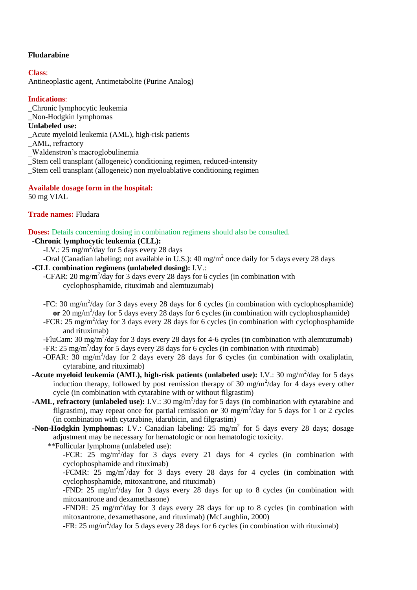# **Fludarabine**

# **Class**:

Antineoplastic agent, Antimetabolite (Purine Analog)

# **Indications**:

\_Chronic lymphocytic leukemia

\_Non-Hodgkin lymphomas

# **Unlabeled use:**

- \_Acute myeloid leukemia (AML), high-risk patients
- \_AML, refractory
- \_Waldenstron's macroglobulinemia
- \_Stem cell transplant (allogeneic) conditioning regimen, reduced-intensity
- \_Stem cell transplant (allogeneic) non myeloablative conditioning regimen

# **Available dosage form in the hospital:**

50 mg VIAL

# **Trade names:** Fludara

**Doses:** Details concerning dosing in combination regimens should also be consulted.

# **-Chronic lymphocytic leukemia (CLL):**

- -I.V.:  $25 \text{ mg/m}^2/\text{day}$  for 5 days every 28 days
- -Oral (Canadian labeling; not available in U.S.): 40 mg/m<sup>2</sup> once daily for 5 days every 28 days

# **-CLL combination regimens (unlabeled dosing):** I.V.:

- -CFAR: 20 mg/m<sup>2</sup>/day for 3 days every 28 days for 6 cycles (in combination with cyclophosphamide, rituximab and alemtuzumab)
- -FC: 30 mg/m<sup>2</sup>/day for 3 days every 28 days for 6 cycles (in combination with cyclophosphamide) or 20 mg/m<sup>2</sup>/day for 5 days every 28 days for 6 cycles (in combination with cyclophosphamide)
- -FCR: 25 mg/m<sup>2</sup>/day for 3 days every 28 days for 6 cycles (in combination with cyclophosphamide and rituximab)
- -FluCam: 30 mg/m<sup>2</sup>/day for 3 days every 28 days for 4-6 cycles (in combination with alemtuzumab) -FR: 25 mg/m<sup>2</sup>/day for 5 days every 28 days for 6 cycles (in combination with rituximab)
- -OFAR:  $30 \text{ mg/m}^2/\text{day}$  for 2 days every 28 days for 6 cycles (in combination with oxaliplatin, cytarabine, and rituximab)
- **-Acute myeloid leukemia (AML), high-risk patients (unlabeled use):** I.V.: 30 mg/m<sup>2</sup>/day for 5 days induction therapy, followed by post remission therapy of 30 mg/m<sup>2</sup>/day for 4 days every other cycle (in combination with cytarabine with or without filgrastim)
- **-AML, refractory (unlabeled use):** I.V.: 30 mg/m<sup>2</sup>/day for 5 days (in combination with cytarabine and filgrastim), may repeat once for partial remission or 30 mg/m<sup>2</sup>/day for 5 days for 1 or 2 cycles (in combination with cytarabine, idarubicin, and filgrastim)
- **-Non-Hodgkin lymphomas:** I.V.: Canadian labeling: 25 mg/m<sup>2</sup> for 5 days every 28 days; dosage adjustment may be necessary for hematologic or non hematologic toxicity.

\*\*Follicular lymphoma (unlabeled use):

-FCR:  $25 \text{ mg/m}^2/\text{day}$  for 3 days every 21 days for 4 cycles (in combination with cyclophosphamide and rituximab)

-FCMR:  $25 \text{ mg/m}^2$ /day for 3 days every 28 days for 4 cycles (in combination with cyclophosphamide, mitoxantrone, and rituximab)

-FND:  $25 \text{ mg/m}^2/\text{day}$  for 3 days every 28 days for up to 8 cycles (in combination with mitoxantrone and dexamethasone)

-FNDR: 25 mg/m<sup>2</sup>/day for 3 days every 28 days for up to 8 cycles (in combination with mitoxantrone, dexamethasone, and rituximab) (McLaughlin, 2000)

-FR: 25 mg/m<sup>2</sup>/day for 5 days every 28 days for 6 cycles (in combination with rituximab)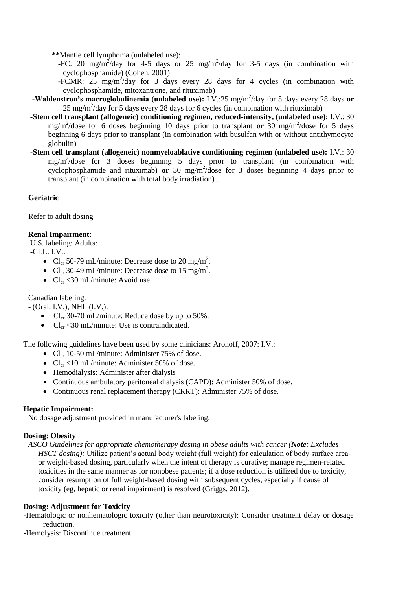**\*\***Mantle cell lymphoma (unlabeled use):

- -FC: 20 mg/m<sup>2</sup>/day for 4-5 days or 25 mg/m<sup>2</sup>/day for 3-5 days (in combination with cyclophosphamide) (Cohen, 2001)
- -FCMR:  $25 \text{ mg/m}^2/\text{day}$  for 3 days every 28 days for 4 cycles (in combination with cyclophosphamide, mitoxantrone, and rituximab)
- **-Waldenstron's macroglobulinemia (unlabeled use):** I.V.:25 mg/m<sup>2</sup>/day for 5 days every 28 days or  $25 \text{ mg/m}^2/\text{day}$  for 5 days every 28 days for 6 cycles (in combination with rituximab)
- **-Stem cell transplant (allogeneic) conditioning regimen, reduced-intensity, (unlabeled use):** I.V.: 30 mg/m<sup>2</sup>/dose for 6 doses beginning 10 days prior to transplant or 30 mg/m<sup>2</sup>/dose for 5 days beginning 6 days prior to transplant (in combination with busulfan with or without antithymocyte globulin)
- **-Stem cell transplant (allogeneic) nonmyeloablative conditioning regimen (unlabeled use):** I.V.: 30 mg/m<sup>2</sup> /dose for 3 doses beginning 5 days prior to transplant (in combination with cyclophosphamide and rituximab)  $or$  30 mg/m<sup>2</sup>/dose for 3 doses beginning 4 days prior to transplant (in combination with total body irradiation) .

### **Geriatric**

Refer to adult dosing

### **Renal Impairment:**

U.S. labeling: Adults:

-CLL: I.V.:

- Cl<sub>cr</sub> 50-79 mL/minute: Decrease dose to 20 mg/m<sup>2</sup>.
- Cl<sub>cr</sub> 30-49 mL/minute: Decrease dose to 15 mg/m<sup>2</sup>.
- $Cl_{cr} < 30 \text{ mL/minute}$ : Avoid use.

Canadian labeling:

- (Oral, I.V.), NHL (I.V.):

- $Cl_{cr}$  30-70 mL/minute: Reduce dose by up to 50%.
- $Cl_{cr} < 30 \text{ mL/minute}$ : Use is contraindicated.

The following guidelines have been used by some clinicians: Aronoff, 2007: I.V.:

- $Cl_{cr}$  10-50 mL/minute: Administer 75% of dose.
- $Cl_{cr}$  <10 mL/minute: Administer 50% of dose.
- Hemodialysis: Administer after dialysis
- Continuous ambulatory peritoneal dialysis (CAPD): Administer 50% of dose.
- Continuous renal replacement therapy (CRRT): Administer 75% of dose.

### **Hepatic Impairment:**

No dosage adjustment provided in manufacturer's labeling.

### **Dosing: Obesity**

*ASCO Guidelines for appropriate chemotherapy dosing in obese adults with cancer (Note: Excludes HSCT dosing*): Utilize patient's actual body weight (full weight) for calculation of body surface areaor weight-based dosing, particularly when the intent of therapy is curative; manage regimen-related toxicities in the same manner as for nonobese patients; if a dose reduction is utilized due to toxicity, consider resumption of full weight-based dosing with subsequent cycles, especially if cause of toxicity (eg, hepatic or renal impairment) is resolved (Griggs, 2012).

### **Dosing: Adjustment for Toxicity**

-Hematologic or nonhematologic toxicity (other than neurotoxicity): Consider treatment delay or dosage reduction.

-Hemolysis: Discontinue treatment.